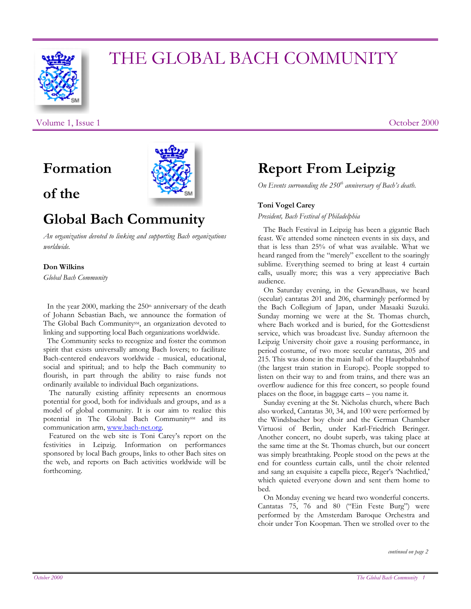

# THE GLOBAL BACH COMMUNITY

Volume 1, Issue 1 **October 2000** 

**Formation** 

### **of the**



## **Global Bach Community**

*An organization devoted to linking and supporting Bach organizations worldwide.* 

#### **Don Wilkins**

*Global Bach Community* 

In the year 2000, marking the  $250<sup>th</sup>$  anniversary of the death of Johann Sebastian Bach, we announce the formation of The Global Bach Community<sup>SM</sup>, an organization devoted to linking and supporting local Bach organizations worldwide.

 The Community seeks to recognize and foster the common spirit that exists universally among Bach lovers; to facilitate Bach-centered endeavors worldwide - musical, educational, social and spiritual; and to help the Bach community to flourish, in part through the ability to raise funds not ordinarily available to individual Bach organizations.

 The naturally existing affinity represents an enormous potential for good, both for individuals and groups, and as a model of global community. It is our aim to realize this potential in The Global Bach Community<sup>SM</sup> and its communication arm, [www.bach-net.org](http://www.bach-net.org/).

 Featured on the web site is Toni Carey's report on the festivities in Leipzig. Information on performances sponsored by local Bach groups, links to other Bach sites on the web, and reports on Bach activities worldwide will be forthcoming.

# **Report From Leipzig**

*On Events surrounding the 250<sup>th</sup> anniversary of Bach's death.* 

### **Toni Vogel Carey**

*President, Bach Festival of Philadelphia* 

 The Bach Festival in Leipzig has been a gigantic Bach feast. We attended some nineteen events in six days, and that is less than 25% of what was available. What we heard ranged from the "merely" excellent to the soaringly sublime. Everything seemed to bring at least 4 curtain calls, usually more; this was a very appreciative Bach audience.

 On Saturday evening, in the Gewandhaus, we heard (secular) cantatas 201 and 206, charmingly performed by the Bach Collegium of Japan, under Masaaki Suzuki. Sunday morning we were at the St. Thomas church, where Bach worked and is buried, for the Gottesdienst service, which was broadcast live. Sunday afternoon the Leipzig University choir gave a rousing performance, in period costume, of two more secular cantatas, 205 and 215. This was done in the main hall of the Hauptbahnhof (the largest train station in Europe). People stopped to listen on their way to and from trains, and there was an overflow audience for this free concert, so people found places on the floor, in baggage carts – you name it.

 Sunday evening at the St. Nicholas church, where Bach also worked, Cantatas 30, 34, and 100 were performed by the Windsbacher boy choir and the German Chamber Virtuosi of Berlin, under Karl-Friedrich Beringer. Another concert, no doubt superb, was taking place at the same time at the St. Thomas church, but our concert was simply breathtaking. People stood on the pews at the end for countless curtain calls, until the choir relented and sang an exquisite a capella piece, Reger's 'Nachtlied,' which quieted everyone down and sent them home to bed.

 On Monday evening we heard two wonderful concerts. Cantatas 75, 76 and 80 ("Ein Feste Burg") were performed by the Amsterdam Baroque Orchestra and choir under Ton Koopman. Then we strolled over to the